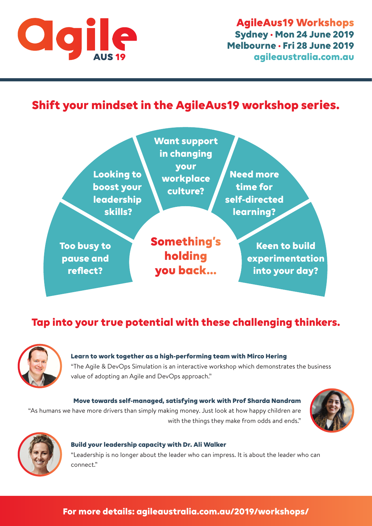

# **Shift your mindset in the AgileAus19 workshop series.**



# **Tap into your true potential with these challenging thinkers.**



**Learn to work together as a high-performing team with Mirco Hering**  ["The Agile & DevOps Simulation is an interactive workshop which demonstrates the business](http://agileaustralia.com.au/2019/workshops/?utm_campaign=2019-agileaus-workshops-flyer-mirco&utm_medium=pdf&utm_source=flyer&utm_content=text)  value of adopting an Agile and DevOps approach."

**Move towards self-managed, satisfying work with Prof Sharda Nandram**  ["As humans we have more drivers than simply making money. Just look at how happy children are](http://agileaustralia.com.au/2019/workshops/?utm_campaign=2019-agileaus-workshops-flyer-sharda&utm_medium=pdf&utm_source=flyer&utm_content=text)  with the things they make from odds and ends."





#### **Build your leadership capacity with Dr. Ali Walker**

["Leadership is no longer about the leader who can impress. It is about the leader who can](http://agileaustralia.com.au/2019/workshops/?utm_campaign=2019-agileaus-workshops-flyer-mirco&utm_medium=pdf&utm_source=flyer&utm_content=text)  connect."

#### **[For more details: agileaustralia.com.au/2019/workshops/](http://agileaustralia.com.au/2019/workshops/?utm_campaign=2019-agileaus-workshops-flyer-footer&utm_medium=pdf&utm_source=flyer&utm_content=footer)**